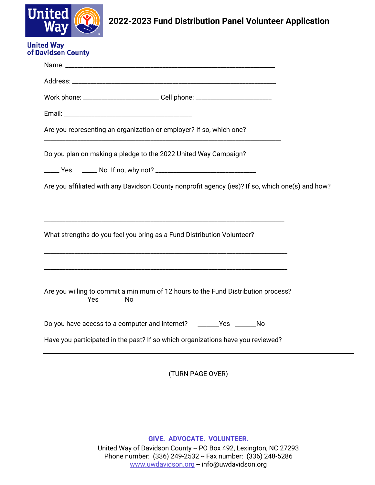

## **2022-2023 Fund Distribution Panel Volunteer Application**

|                        | Work phone: _______________________________Cell phone: _________________________                 |  |
|------------------------|--------------------------------------------------------------------------------------------------|--|
|                        |                                                                                                  |  |
|                        | Are you representing an organization or employer? If so, which one?                              |  |
|                        | Do you plan on making a pledge to the 2022 United Way Campaign?                                  |  |
|                        |                                                                                                  |  |
|                        | Are you affiliated with any Davidson County nonprofit agency (ies)? If so, which one(s) and how? |  |
|                        |                                                                                                  |  |
|                        | What strengths do you feel you bring as a Fund Distribution Volunteer?                           |  |
|                        |                                                                                                  |  |
| ________Yes ________No | Are you willing to commit a minimum of 12 hours to the Fund Distribution process?                |  |
|                        | Do you have access to a computer and internet? ________Yes ________No                            |  |
|                        |                                                                                                  |  |

(TURN PAGE OVER)

**GIVE. ADVOCATE. VOLUNTEER.**

United Way of Davidson County -- PO Box 492, Lexington, NC 27293 Phone number: (336) 249-2532 -- Fax number: (336) 248-5286 [www.uwdavidson.org](http://www.uwdavidson.org/) -- info@uwdavidson.org